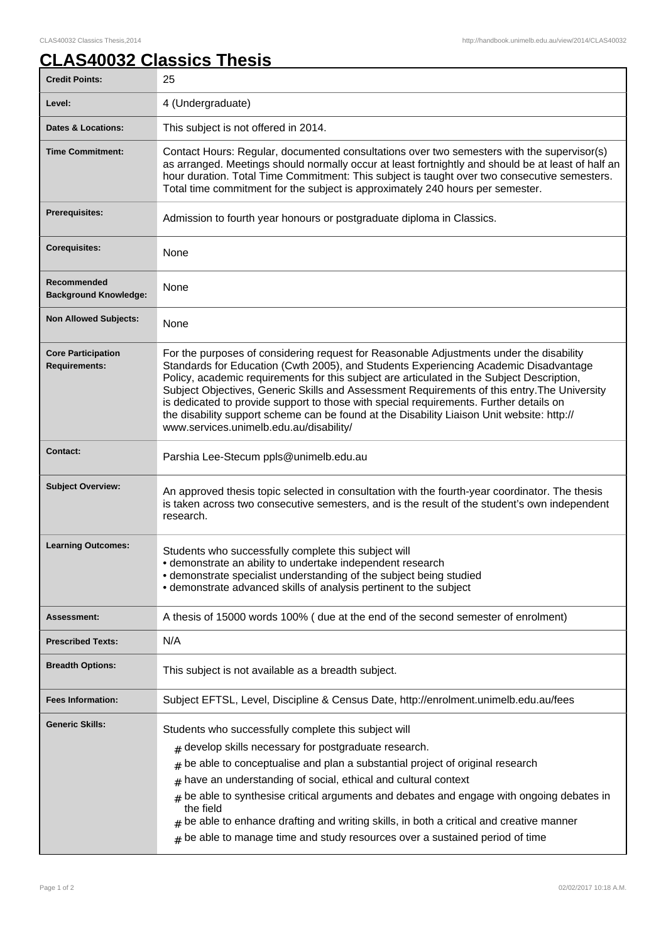## **CLAS40032 Classics Thesis**

| <b>Credit Points:</b>                             | 25                                                                                                                                                                                                                                                                                                                                                                                                                                                                                                                                                                                                               |
|---------------------------------------------------|------------------------------------------------------------------------------------------------------------------------------------------------------------------------------------------------------------------------------------------------------------------------------------------------------------------------------------------------------------------------------------------------------------------------------------------------------------------------------------------------------------------------------------------------------------------------------------------------------------------|
| Level:                                            | 4 (Undergraduate)                                                                                                                                                                                                                                                                                                                                                                                                                                                                                                                                                                                                |
| <b>Dates &amp; Locations:</b>                     | This subject is not offered in 2014.                                                                                                                                                                                                                                                                                                                                                                                                                                                                                                                                                                             |
| <b>Time Commitment:</b>                           | Contact Hours: Regular, documented consultations over two semesters with the supervisor(s)<br>as arranged. Meetings should normally occur at least fortnightly and should be at least of half an<br>hour duration. Total Time Commitment: This subject is taught over two consecutive semesters.<br>Total time commitment for the subject is approximately 240 hours per semester.                                                                                                                                                                                                                               |
| <b>Prerequisites:</b>                             | Admission to fourth year honours or postgraduate diploma in Classics.                                                                                                                                                                                                                                                                                                                                                                                                                                                                                                                                            |
| <b>Corequisites:</b>                              | None                                                                                                                                                                                                                                                                                                                                                                                                                                                                                                                                                                                                             |
| Recommended<br><b>Background Knowledge:</b>       | None                                                                                                                                                                                                                                                                                                                                                                                                                                                                                                                                                                                                             |
| <b>Non Allowed Subjects:</b>                      | None                                                                                                                                                                                                                                                                                                                                                                                                                                                                                                                                                                                                             |
| <b>Core Participation</b><br><b>Requirements:</b> | For the purposes of considering request for Reasonable Adjustments under the disability<br>Standards for Education (Cwth 2005), and Students Experiencing Academic Disadvantage<br>Policy, academic requirements for this subject are articulated in the Subject Description,<br>Subject Objectives, Generic Skills and Assessment Requirements of this entry. The University<br>is dedicated to provide support to those with special requirements. Further details on<br>the disability support scheme can be found at the Disability Liaison Unit website: http://<br>www.services.unimelb.edu.au/disability/ |
| <b>Contact:</b>                                   | Parshia Lee-Stecum ppls@unimelb.edu.au                                                                                                                                                                                                                                                                                                                                                                                                                                                                                                                                                                           |
| <b>Subject Overview:</b>                          | An approved thesis topic selected in consultation with the fourth-year coordinator. The thesis<br>is taken across two consecutive semesters, and is the result of the student's own independent<br>research.                                                                                                                                                                                                                                                                                                                                                                                                     |
| <b>Learning Outcomes:</b>                         | Students who successfully complete this subject will<br>· demonstrate an ability to undertake independent research<br>· demonstrate specialist understanding of the subject being studied<br>• demonstrate advanced skills of analysis pertinent to the subject                                                                                                                                                                                                                                                                                                                                                  |
| <b>Assessment:</b>                                | A thesis of 15000 words 100% ( due at the end of the second semester of enrolment)                                                                                                                                                                                                                                                                                                                                                                                                                                                                                                                               |
| <b>Prescribed Texts:</b>                          | N/A                                                                                                                                                                                                                                                                                                                                                                                                                                                                                                                                                                                                              |
| <b>Breadth Options:</b>                           | This subject is not available as a breadth subject.                                                                                                                                                                                                                                                                                                                                                                                                                                                                                                                                                              |
| <b>Fees Information:</b>                          | Subject EFTSL, Level, Discipline & Census Date, http://enrolment.unimelb.edu.au/fees                                                                                                                                                                                                                                                                                                                                                                                                                                                                                                                             |
| <b>Generic Skills:</b>                            | Students who successfully complete this subject will<br>$#$ develop skills necessary for postgraduate research.<br>be able to conceptualise and plan a substantial project of original research<br>#<br>have an understanding of social, ethical and cultural context<br>$\#$<br>be able to synthesise critical arguments and debates and engage with ongoing debates in<br>#<br>the field<br>be able to enhance drafting and writing skills, in both a critical and creative manner<br>be able to manage time and study resources over a sustained period of time<br>#                                          |